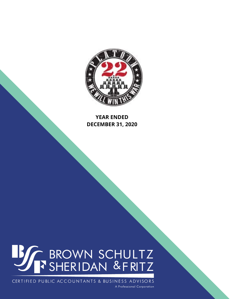

**YEAR ENDED DECEMBER 31, 2020** 

# **BEAN SCHULTZ**

CERTIFIED PUBLIC ACCOUNTANTS & BUSINESS ADVISORS A Professional Corporation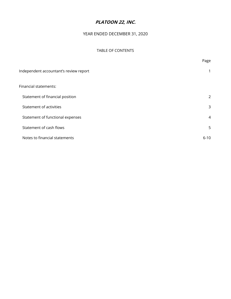## YEAR ENDED DECEMBER 31, 2020

## TABLE OF CONTENTS

|                                        | Page     |
|----------------------------------------|----------|
| Independent accountant's review report | 1        |
| <b>Financial statements:</b>           |          |
| Statement of financial position        | 2        |
| <b>Statement of activities</b>         | 3        |
| Statement of functional expenses       | 4        |
| Statement of cash flows                | 5        |
| Notes to financial statements          | $6 - 10$ |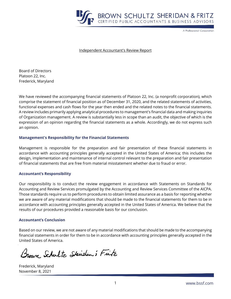

A Professional Corporation

Independent Accountant's Review Report

Board of Directors Platoon 22, Inc. Frederick, Maryland

We have reviewed the accompanying financial statements of Platoon 22, Inc. (a nonprofit corporation), which comprise the statement of financial position as of December 31, 2020, and the related statements of activities, functional expenses and cash flows for the year then ended and the related notes to the financial statements. A review includes primarily applying analytical procedures to management's financial data and making inquiries of Organization management. A review is substantially less in scope than an audit, the objective of which is the expression of an opinion regarding the financial statements as a whole. Accordingly, we do not express such an opinion.

## **Management's Responsibility for the Financial Statements**

Management is responsible for the preparation and fair presentation of these financial statements in accordance with accounting principles generally accepted in the United States of America; this includes the design, implementation and maintenance of internal control relevant to the preparation and fair presentation of financial statements that are free from material misstatement whether due to fraud or error.

#### **Accountant's Responsibility**

Our responsibility is to conduct the review engagement in accordance with Statements on Standards for Accounting and Review Services promulgated by the Accounting and Review Services Committee of the AICPA. Those standards require us to perform procedures to obtain limited assurance as a basis for reporting whether we are aware of any material modifications that should be made to the financial statements for them to be in accordance with accounting principles generally accepted in the United States of America. We believe that the results of our procedures provided a reasonable basis for our conclusion.

#### **Accountant's Conclusion**

Based on our review, we are not aware of any material modifications that should be made to the accompanying financial statements in order for them to be in accordance with accounting principles generally accepted in the United States of America.

Brown Schultz Skiden's Fitz

Frederick, Maryland November 8, 2021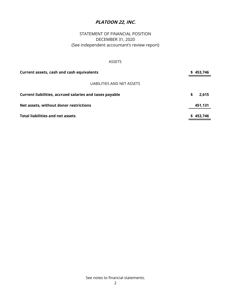# STATEMENT OF FINANCIAL POSITION DECEMBER 31, 2020 (See independent accountant's review report)

## ASSETS

| Current assets, cash and cash equivalents               | \$453,746   |
|---------------------------------------------------------|-------------|
| LIABILITIES AND NET ASSETS                              |             |
| Current liabilities, accrued salaries and taxes payable | \$<br>2.615 |
| Net assets, without donor restrictions                  | 451,131     |
| <b>Total liabilities and net assets</b>                 | \$453,746   |

See notes to financial statements.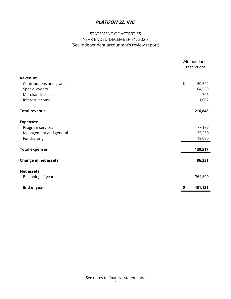# STATEMENT OF ACTIVITIES YEAR ENDED DECEMBER 31, 2020 (See independent accountant's review report)

|                             | Without donor<br>restrictions |
|-----------------------------|-------------------------------|
| <b>Revenue:</b>             |                               |
| Contributions and grants    | \$<br>150,542                 |
| Special events              | 64,538                        |
| Merchandise sales           | 706                           |
| Interest income             | 1,062                         |
| <b>Total revenue</b>        | 216,848                       |
| <b>Expenses:</b>            |                               |
| Program services            | 77,187                        |
| Management and general      | 35,250                        |
| Fundraising                 | 18,080                        |
| <b>Total expenses</b>       | 130,517                       |
| <b>Change in net assets</b> | 86,331                        |
| <b>Net assets:</b>          |                               |
| Beginning of year           | 364,800                       |
| <b>End of year</b>          | 451,131<br>S                  |
|                             |                               |

See notes to financial statements.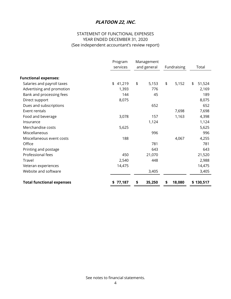# STATEMENT OF FUNCTIONAL EXPENSES YEAR ENDED DECEMBER 31, 2020 (See independent accountant's review report)

|                                  | Program<br>services | Management<br>and general | Fundraising  | Total        |
|----------------------------------|---------------------|---------------------------|--------------|--------------|
| <b>Functional expenses:</b>      |                     |                           |              |              |
| Salaries and payroll taxes       | \$41,219            | \$<br>5,153               | \$<br>5,152  | \$<br>51,524 |
| Advertising and promotion        | 1,393               | 776                       |              | 2,169        |
| Bank and processing fees         | 144                 | 45                        |              | 189          |
| Direct support                   | 8,075               |                           |              | 8,075        |
| Dues and subscriptions           |                     | 652                       |              | 652          |
| Event rentals                    |                     |                           | 7,698        | 7,698        |
| Food and beverage                | 3,078               | 157                       | 1,163        | 4,398        |
| Insurance                        |                     | 1,124                     |              | 1,124        |
| Merchandise costs                | 5,625               |                           |              | 5,625        |
| Miscellaneous                    |                     | 996                       |              | 996          |
| Miscellaneous event costs        | 188                 |                           | 4,067        | 4,255        |
| Office                           |                     | 781                       |              | 781          |
| Printing and postage             |                     | 643                       |              | 643          |
| Professional fees                | 450                 | 21,070                    |              | 21,520       |
| Travel                           | 2,540               | 448                       |              | 2,988        |
| Veteran experiences              | 14,475              |                           |              | 14,475       |
| Website and software             |                     | 3,405                     |              | 3,405        |
|                                  |                     |                           |              |              |
| <b>Total functional expenses</b> | 77,187              | 35,250<br>\$              | 18,080<br>\$ | \$130,517    |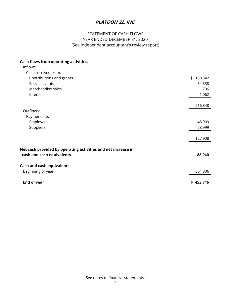## STATEMENT OF CASH FLOWS YEAR ENDED DECEMBER 31, 2020 (See independent accountant's review report)

## **Cash flows from operating activities:**

| Inflows:                                                      |           |
|---------------------------------------------------------------|-----------|
| Cash received from:                                           |           |
| Contributions and grants                                      | \$150,542 |
| Special events                                                | 64,538    |
| Merchandise sales                                             | 706       |
| Interest                                                      | 1,062     |
|                                                               |           |
|                                                               | 216,848   |
| Outflows:                                                     |           |
| Payments to:                                                  |           |
| Employees                                                     | 48,909    |
| Suppliers                                                     | 78,999    |
|                                                               |           |
|                                                               | 127,908   |
|                                                               |           |
| Net cash provided by operating activities and net increase in |           |
| cash and cash equivalents                                     | 88,940    |
| <b>Cash and cash equivalents:</b>                             |           |
| Beginning of year                                             | 364,806   |
|                                                               |           |
| <b>End of year</b>                                            | \$453,746 |

See notes to financial statements.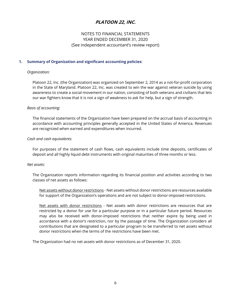## NOTES TO FINANCIAL STATEMENTS YEAR ENDED DECEMBER 31, 2020 (See independent accountant's review report)

## **1. Summary of Organization and significant accounting policies:**

## *Organization:*

Platoon 22, Inc. (the Organization) was organized on September 2, 2014 as a not-for-profit corporation in the State of Maryland. Platoon 22, Inc. was created to win the war against veteran suicide by using awareness to create a social movement in our nation, consisting of both veterans and civilians that lets our war fighters know that it is not a sign of weakness to ask for help, but a sign of strength.

## *Basis of accounting:*

The financial statements of the Organization have been prepared on the accrual basis of accounting in accordance with accounting principles generally accepted in the United States of America. Revenues are recognized when earned and expenditures when incurred.

## *Cash and cash equivalents:*

For purposes of the statement of cash flows, cash equivalents include time deposits, certificates of deposit and all highly liquid debt instruments with original maturities of three months or less.

#### *Net assets:*

The Organization reports information regarding its financial position and activities according to two classes of net assets as follows:

Net assets without donor restrictions - Net assets without donor restrictions are resources available for support of the Organization's operations and are not subject to donor-imposed restrictions.

Net assets with donor restrictions - Net assets with donor restrictions are resources that are restricted by a donor for use for a particular purpose or in a particular future period. Resources may also be received with donor-imposed restrictions that neither expire by being used in accordance with a donor's restriction, nor by the passage of time. The Organization considers all contributions that are designated to a particular program to be transferred to net assets without donor restrictions when the terms of the restrictions have been met.

The Organization had no net assets with donor restrictions as of December 31, 2020.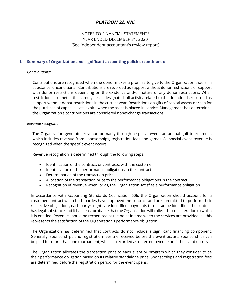## NOTES TO FINANCIAL STATEMENTS YEAR ENDED DECEMBER 31, 2020 (See independent accountant's review report)

## **1. Summary of Organization and significant accounting policies (continued):**

## *Contributions:*

Contributions are recognized when the donor makes a promise to give to the Organization that is, in substance, unconditional. Contributions are recorded as support without donor restrictions or support with donor restrictions depending on the existence and/or nature of any donor restrictions. When restrictions are met in the same year as designated, all activity related to the donation is recorded as support without donor restrictions in the current year. Restrictions on gifts of capital assets or cash for the purchase of capital assets expire when the asset is placed in service. Management has determined the Organization's contributions are considered nonexchange transactions.

## *Revenue recognition:*

The Organization generates revenue primarily through a special event, an annual golf tournament, which includes revenue from sponsorships, registration fees and games. All special event revenue is recognized when the specific event occurs.

Revenue recognition is determined through the following steps:

- Identification of the contract, or contracts, with the customer
- Identification of the performance obligations in the contract
- Determination of the transaction price
- Allocation of the transaction price to the performance obligations in the contract
- Recognition of revenue when, or as, the Organization satisfies a performance obligation

In accordance with Accounting Standards Codification 606, the Organization should account for a customer contract when both parties have approved the contract and are committed to perform their respective obligations, each party's rights are identified, payments terms can be identified, the contract has legal substance and it is at least probable that the Organization will collect the consideration to which it is entitled. Revenue should be recognized at the point in time when the services are provided, as this represents the satisfaction of the Organization's performance obligation.

The Organization has determined that contracts do not include a significant financing component. Generally, sponsorships and registration fees are received before the event occurs. Sponsorships can be paid for more than one tournament, which is recorded as deferred revenue until the event occurs.

The Organization allocates the transaction price to each event or program which they consider to be their performance obligation based on its relative standalone price. Sponsorships and registration fees are determined before the registration period for the event opens.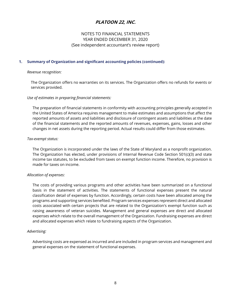## NOTES TO FINANCIAL STATEMENTS YEAR ENDED DECEMBER 31, 2020 (See independent accountant's review report)

## **1. Summary of Organization and significant accounting policies (continued):**

## *Revenue recognition:*

The Organization offers no warranties on its services. The Organization offers no refunds for events or services provided.

## *Use of estimates in preparing financial statements:*

The preparation of financial statements in conformity with accounting principles generally accepted in the United States of America requires management to make estimates and assumptions that affect the reported amounts of assets and liabilities and disclosure of contingent assets and liabilities at the date of the financial statements and the reported amounts of revenues, expenses, gains, losses and other changes in net assets during the reporting period. Actual results could differ from those estimates.

## *Tax-exempt status:*

The Organization is incorporated under the laws of the State of Maryland as a nonprofit organization. The Organization has elected, under provisions of Internal Revenue Code Section 501(c)(3) and state income tax statutes, to be excluded from taxes on exempt function income. Therefore, no provision is made for taxes on income.

## *Allocation of expenses:*

The costs of providing various programs and other activities have been summarized on a functional basis in the statement of activities. The statements of functional expenses present the natural classification detail of expenses by function. Accordingly, certain costs have been allocated among the programs and supporting services benefited. Program services expenses represent direct and allocated costs associated with certain projects that are related to the Organization's exempt function such as raising awareness of veteran suicides. Management and general expenses are direct and allocated expenses which relate to the overall management of the Organization. Fundraising expenses are direct and allocated expenses which relate to fundraising aspects of the Organization.

## *Advertising:*

Advertising costs are expensed as incurred and are included in program services and management and general expenses on the statement of functional expenses.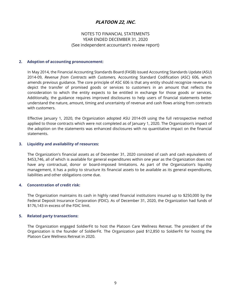## NOTES TO FINANCIAL STATEMENTS YEAR ENDED DECEMBER 31, 2020 (See independent accountant's review report)

## **2. Adoption of accounting pronouncement:**

In May 2014, the Financial Accounting Standards Board (FASB) issued Accounting Standards Update (ASU) 2014-09, *Revenue from Contracts with Customers,* Accounting Standard Codification (ASC) 606, which amends previous guidance. The core principle of ASC 606 is that any entity should recognize revenue to depict the transfer of promised goods or services to customers in an amount that reflects the consideration to which the entity expects to be entitled in exchange for those goods or services. Additionally, the guidance requires improved disclosures to help users of financial statements better understand the nature, amount, timing and uncertainty of revenue and cash flows arising from contracts with customers.

Effective January 1, 2020, the Organization adopted ASU 2014-09 using the full retrospective method applied to those contracts which were not completed as of January 1, 2020. The Organization's impact of the adoption on the statements was enhanced disclosures with no quantitative impact on the financial statements.

## **3. Liquidity and availability of resources:**

The Organization's financial assets as of December 31, 2020 consisted of cash and cash equivalents of \$453,746, all of which is available for general expenditures within one year as the Organization does not have any contractual, donor or board-imposed limitations. As part of the Organization's liquidity management, it has a policy to structure its financial assets to be available as its general expenditures, liabilities and other obligations come due.

## **4. Concentration of credit risk:**

The Organization maintains its cash in highly rated financial institutions insured up to \$250,000 by the Federal Deposit Insurance Corporation (FDIC). As of December 31, 2020, the Organization had funds of \$176,143 in excess of the FDIC limit.

## **5. Related party transactions:**

The Organization engaged SoldierFit to host the Platoon Care Wellness Retreat. The president of the Organization is the founder of SoldierFit. The Organization paid \$12,850 to SoldierFit for hosting the Platoon Care Wellness Retreat in 2020.